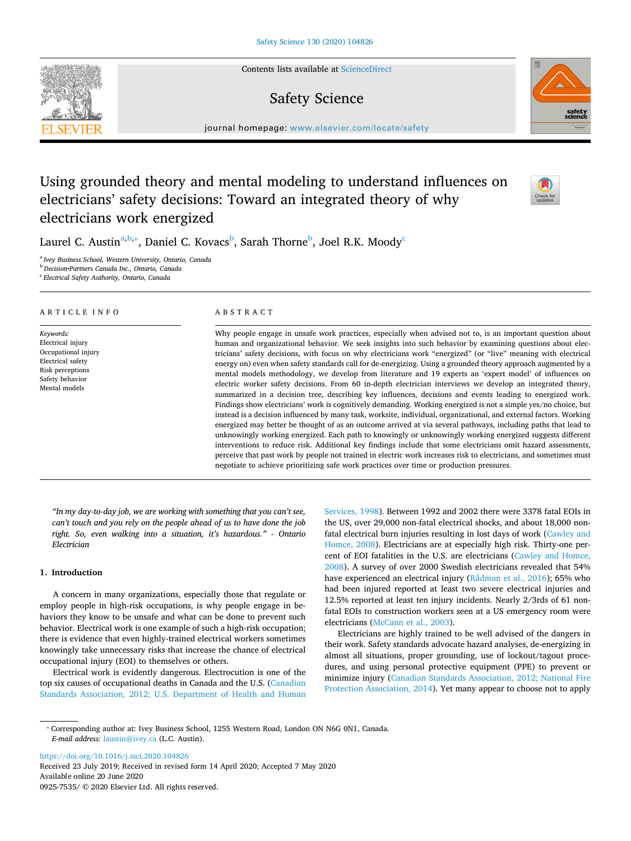Contents lists available at [ScienceDirect](http://www.sciencedirect.com/science/journal/09257535) 

# Safety Science



# Using grounded theory and mental modeling to understand influences on electricians' safety decisions: Toward an integrated theory of why electricians work energized

Laurel C. Austin<sup>[a,](#page-0-0)[b](#page-0-1),</sup>\*, Daniel C. Kova[c](#page-0-3)s<sup>b</sup>, Sarah Thorne<sup>b</sup>, Joel R.K. Moody<sup>c</sup>

<span id="page-0-0"></span><sup>a</sup>*Ivey Business School, Western University, Ontario, Canada* 

<span id="page-0-1"></span><sup>b</sup>*Decision•Partners Canada Inc., Ontario, Canada* 

<span id="page-0-3"></span><sup>c</sup>*Electrical Safety Authority, Ontario, Canada* 

## A R T I C L E I N F O

*Keywords:*  Electrical injury Occupational injury Electrical safety Risk perceptions Safety behavior Mental models

#### ABSTRACT

Why people engage in unsafe work practices, especially when advised not to, is an important question about human and organizational behavior. We seek insights into such behavior by examining questions about electricians' safety decisions, with focus on why electricians work "energized" (or "live" meaning with electrical energy on) even when safety standards call for de-energizing. Using a grounded theory approach augmented by a mental models methodology, we develop from literature and 19 experts an 'expert model' of influences on electric worker safety decisions. From 60 in-depth electrician interviews we develop an integrated theory, summarized in a decision tree, describing key influences, decisions and events leading to energized work. Findings show electricians' work is cognitively demanding. Working energized is not a simple yes/no choice, but instead is a decision influenced by many task, worksite, individual, organizational, and external factors. Working energized may better be thought of as an outcome arrived at via several pathways, including paths that lead to unknowingly working energized. Each path to knowingly or unknowingly working energized suggests different interventions to reduce risk. Additional key findings include that some electricians omit hazard assessments, perceive that past work by people not trained in electric work increases risk to electricians, and sometimes must negotiate to achieve prioritizing safe work practices over time or production pressures.

*"In my day-to-day job, we are working with something that you can't see, can't touch and you rely on the people ahead of us to have done the job right. So, even walking into a situation, it's hazardous." - Ontario Electrician* 

# **1. Introduction**

A concern in many organizations, especially those that regulate or employ people in high-risk occupations, is why people engage in behaviors they know to be unsafe and what can be done to prevent such behavior. Electrical work is one example of such a high-risk occupation; there is evidence that even highly-trained electrical workers sometimes knowingly take unnecessary risks that increase the chance of electrical occupational injury (EOI) to themselves or others.

Electrical work is evidently dangerous. Electrocution is one of the top six causes of occupational deaths in Canada and the U.S. ([Canadian](#page-11-0)  [Standards Association, 2012; U.S. Department of Health and Human](#page-11-0)  [Services, 1998\)](#page-11-0). Between 1992 and 2002 there were 3378 fatal EOIs in the US, over 29,000 non-fatal electrical shocks, and about 18,000 nonfatal electrical burn injuries resulting in lost days of work [\(Cawley and](#page-11-1)  [Homce, 2008](#page-11-1)). Electricians are at especially high risk. Thirty-one percent of EOI fatalities in the U.S. are electricians ([Cawley and Homce,](#page-11-1)  [2008\)](#page-11-1). A survey of over 2000 Swedish electricians revealed that 54% have experienced an electrical injury ([Rådman et al., 2016](#page-12-0)); 65% who had been injured reported at least two severe electrical injuries and 12.5% reported at least ten injury incidents. Nearly 2/3rds of 61 nonfatal EOIs to construction workers seen at a US emergency room were electricians [\(McCann et al., 2003](#page-12-1)).

Electricians are highly trained to be well advised of the dangers in their work. Safety standards advocate hazard analyses, de-energizing in almost all situations, proper grounding, use of lockout/tagout procedures, and using personal protective equipment (PPE) to prevent or minimize injury [\(Canadian Standards Association, 2012; National Fire](#page-11-0)  [Protection Association, 2014](#page-11-0)). Yet many appear to choose not to apply

<span id="page-0-2"></span>⁎ Corresponding author at: Ivey Business School, 1255 Western Road, London ON N6G 0N1, Canada. *E-mail address:* [laustin@ivey.ca](mailto:laustin@ivey.ca) (L.C. Austin).

<https://doi.org/10.1016/j.ssci.2020.104826> Received 23 July 2019; Received in revised form 14 April 2020; Accepted 7 May 2020 Available online 20 June 2020 0925-7535/ © 2020 Elsevier Ltd. All rights reserved.





 $\frac{N}{2}$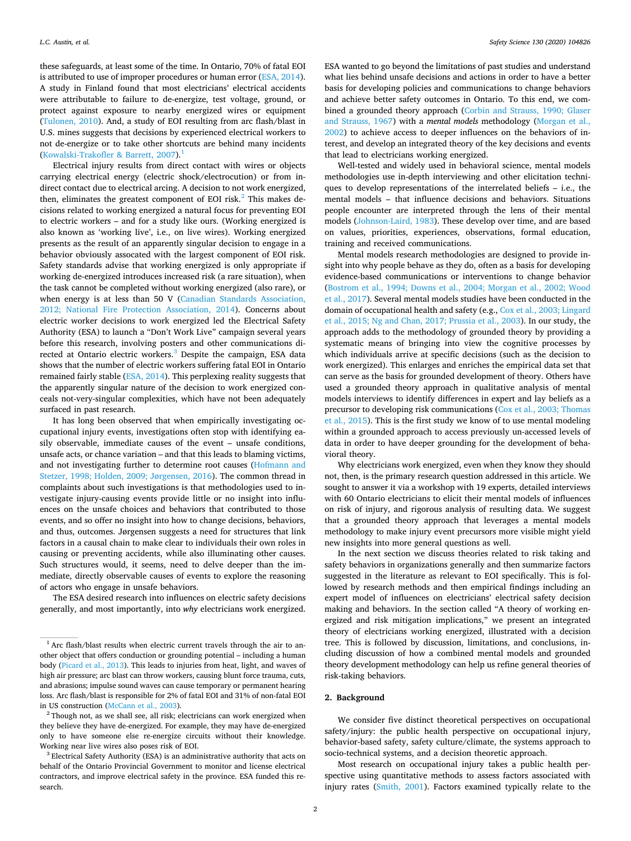these safeguards, at least some of the time. In Ontario, 70% of fatal EOI is attributed to use of improper procedures or human error [\(ESA, 2014](#page-11-2)). A study in Finland found that most electricians' electrical accidents were attributable to failure to de-energize, test voltage, ground, or protect against exposure to nearby energized wires or equipment ([Tulonen, 2010\)](#page-12-2). And, a study of EOI resulting from arc flash/blast in U.S. mines suggests that decisions by experienced electrical workers to not de-energize or to take other shortcuts are behind many incidents ([Kowalski-Trakofler & Barrett, 2007\)](#page-12-3).<sup>[1](#page-1-0)</sup>

Electrical injury results from direct contact with wires or objects carrying electrical energy (electric shock/electrocution) or from indirect contact due to electrical arcing. A decision to not work energized, then, eliminates the greatest component of EOI risk. $<sup>2</sup>$  This makes de-</sup> cisions related to working energized a natural focus for preventing EOI to electric workers – and for a study like ours. (Working energized is also known as 'working live', i.e., on live wires). Working energized presents as the result of an apparently singular decision to engage in a behavior obviously assocated with the largest component of EOI risk. Safety standards advise that working energized is only appropriate if working de-energized introduces increased risk (a rare situation), when the task cannot be completed without working energized (also rare), or when energy is at less than 50 V (Canadian Standards Association, [2012; National Fire Protection Association, 2014\)](#page-11-0). Concerns about electric worker decisions to work energized led the Electrical Safety Authority (ESA) to launch a "Don't Work Live" campaign several years before this research, involving posters and other communications di-rected at Ontario electric workers.<sup>[3](#page-1-2)</sup> Despite the campaign, ESA data shows that the number of electric workers suffering fatal EOI in Ontario remained fairly stable [\(ESA, 2014](#page-11-2)). This perplexing reality suggests that the apparently singular nature of the decision to work energized conceals not-very-singular complexities, which have not been adequately surfaced in past research.

It has long been observed that when empirically investigating occupational injury events, investigations often stop with identifying easily observable, immediate causes of the event – unsafe conditions, unsafe acts, or chance variation – and that this leads to blaming victims, and not investigating further to determine root causes ([Hofmann and](#page-12-4)  [Stetzer, 1998; Holden, 2009; Jørgensen, 2016](#page-12-4)). The common thread in complaints about such investigations is that methodologies used to investigate injury-causing events provide little or no insight into influences on the unsafe choices and behaviors that contributed to those events, and so offer no insight into how to change decisions, behaviors, and thus, outcomes. Jørgensen suggests a need for structures that link factors in a causal chain to make clear to individuals their own roles in causing or preventing accidents, while also illuminating other causes. Such structures would, it seems, need to delve deeper than the immediate, directly observable causes of events to explore the reasoning of actors who engage in unsafe behaviors.

The ESA desired research into influences on electric safety decisions generally, and most importantly, into *why* electricians work energized.

ESA wanted to go beyond the limitations of past studies and understand what lies behind unsafe decisions and actions in order to have a better basis for developing policies and communications to change behaviors and achieve better safety outcomes in Ontario. To this end, we combined a grounded theory approach ([Corbin and Strauss, 1990; Glaser](#page-11-3)  [and Strauss, 1967\)](#page-11-3) with a *mental models* methodology ([Morgan et al.,](#page-12-5)  [2002\)](#page-12-5) to achieve access to deeper influences on the behaviors of interest, and develop an integrated theory of the key decisions and events that lead to electricians working energized.

Well-tested and widely used in behavioral science, mental models methodologies use in-depth interviewing and other elicitation techniques to develop representations of the interrelated beliefs – i.e., the mental models – that influence decisions and behaviors. Situations people encounter are interpreted through the lens of their mental models [\(Johnson-Laird, 1983\)](#page-12-6). These develop over time, and are based on values, priorities, experiences, observations, formal education, training and received communications.

Mental models research methodologies are designed to provide insight into why people behave as they do, often as a basis for developing evidence-based communications or interventions to change behavior ([Bostrom et al., 1994; Downs et al., 2004; Morgan et al., 2002; Wood](#page-11-4)  [et al., 2017](#page-11-4)). Several mental models studies have been conducted in the domain of occupational health and safety (e.g., [Cox et al., 2003; Lingard](#page-11-5)  [et al., 2015; Ng and Chan, 2017; Prussia et al., 2003](#page-11-5)). In our study, the approach adds to the methodology of grounded theory by providing a systematic means of bringing into view the cognitive processes by which individuals arrive at specific decisions (such as the decision to work energized). This enlarges and enriches the empirical data set that can serve as the basis for grounded development of theory. Others have used a grounded theory approach in qualitative analysis of mental models interviews to identify differences in expert and lay beliefs as a precursor to developing risk communications [\(Cox et al., 2003; Thomas](#page-11-5)  [et al., 2015\)](#page-11-5). This is the first study we know of to use mental modeling within a grounded approach to access previously un-accessed levels of data in order to have deeper grounding for the development of behavioral theory.

Why electricians work energized, even when they know they should not, then, is the primary research question addressed in this article. We sought to answer it via a workshop with 19 experts, detailed interviews with 60 Ontario electricians to elicit their mental models of influences on risk of injury, and rigorous analysis of resulting data. We suggest that a grounded theory approach that leverages a mental models methodology to make injury event precursors more visible might yield new insights into more general questions as well.

In the next section we discuss theories related to risk taking and safety behaviors in organizations generally and then summarize factors suggested in the literature as relevant to EOI specifically. This is followed by research methods and then empirical findings including an expert model of influences on electricians' electrical safety decision making and behaviors. In the section called "A theory of working energized and risk mitigation implications," we present an integrated theory of electricians working energized, illustrated with a decision tree. This is followed by discussion, limitations, and conclusions, including discussion of how a combined mental models and grounded theory development methodology can help us refine general theories of risk-taking behaviors.

## **2. Background**

We consider five distinct theoretical perspectives on occupational safety/injury: the public health perspective on occupational injury, behavior-based safety, safety culture/climate, the systems approach to socio-technical systems, and a decision theoretic approach.

Most research on occupational injury takes a public health perspective using quantitative methods to assess factors associated with injury rates ([Smith, 2001](#page-12-7)). Factors examined typically relate to the

<span id="page-1-0"></span> $1$  Arc flash/blast results when electric current travels through the air to another object that offers conduction or grounding potential – including a human body [\(Picard et al., 2013](#page-12-8)). This leads to injuries from heat, light, and waves of high air pressure; arc blast can throw workers, causing blunt force trauma, cuts, and abrasions; impulse sound waves can cause temporary or permanent hearing loss. Arc flash/blast is responsible for 2% of fatal EOI and 31% of non-fatal EOI in US construction ([McCann et al., 2003\)](#page-12-1).  $\frac{2 \text{ }}{ }$  2 Though not, as we shall see, all risk; electricians can work energized when

<span id="page-1-1"></span>they believe they have de-energized. For example, they may have de-energized only to have someone else re-energize circuits without their knowledge. Working near live wires also poses risk of EOI.

<span id="page-1-2"></span> $3$  Electrical Safety Authority (ESA) is an administrative authority that acts on behalf of the Ontario Provincial Government to monitor and license electrical contractors, and improve electrical safety in the province. ESA funded this research.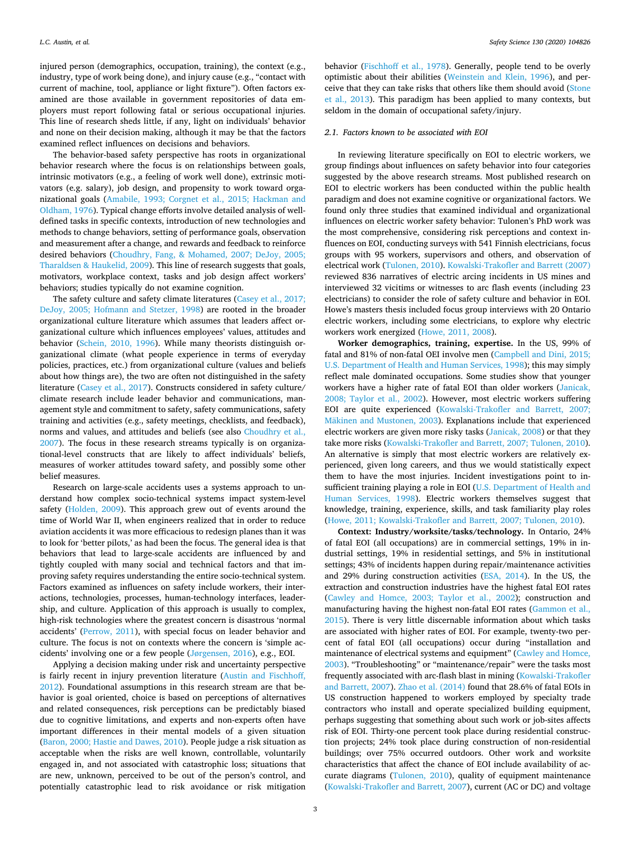injured person (demographics, occupation, training), the context (e.g., industry, type of work being done), and injury cause (e.g., "contact with current of machine, tool, appliance or light fixture"). Often factors examined are those available in government repositories of data employers must report following fatal or serious occupational injuries. This line of research sheds little, if any, light on individuals' behavior and none on their decision making, although it may be that the factors examined reflect influences on decisions and behaviors.

The behavior-based safety perspective has roots in organizational behavior research where the focus is on relationships between goals, intrinsic motivators (e.g., a feeling of work well done), extrinsic motivators (e.g. salary), job design, and propensity to work toward organizational goals ([Amabile, 1993; Corgnet et al., 2015; Hackman and](#page-11-6)  [Oldham, 1976\)](#page-11-6). Typical change efforts involve detailed analysis of welldefined tasks in specific contexts, introduction of new technologies and methods to change behaviors, setting of performance goals, observation and measurement after a change, and rewards and feedback to reinforce desired behaviors [\(Choudhry, Fang, & Mohamed, 2007; DeJoy, 2005;](#page-11-7)  [Tharaldsen & Haukelid, 2009\)](#page-11-7). This line of research suggests that goals, motivators, workplace context, tasks and job design affect workers' behaviors; studies typically do not examine cognition.

The safety culture and safety climate literatures ([Casey et al., 2017;](#page-11-8)  [DeJoy, 2005; Hofmann and Stetzer, 1998](#page-11-8)) are rooted in the broader organizational culture literature which assumes that leaders affect organizational culture which influences employees' values, attitudes and behavior [\(Schein, 2010, 1996](#page-12-9)). While many theorists distinguish organizational climate (what people experience in terms of everyday policies, practices, etc.) from organizational culture (values and beliefs about how things are), the two are often not distinguished in the safety literature ([Casey et al., 2017](#page-11-8)). Constructs considered in safety culture/ climate research include leader behavior and communications, management style and commitment to safety, safety communications, safety training and activities (e.g., safety meetings, checklists, and feedback), norms and values, and attitudes and beliefs (see also [Choudhry et al.,](#page-11-7)  [2007\)](#page-11-7). The focus in these research streams typically is on organizational-level constructs that are likely to affect individuals' beliefs, measures of worker attitudes toward safety, and possibly some other belief measures.

Research on large-scale accidents uses a systems approach to understand how complex socio-technical systems impact system-level safety ([Holden, 2009\)](#page-12-10). This approach grew out of events around the time of World War II, when engineers realized that in order to reduce aviation accidents it was more efficacious to redesign planes than it was to look for 'better pilots,' as had been the focus. The general idea is that behaviors that lead to large-scale accidents are influenced by and tightly coupled with many social and technical factors and that improving safety requires understanding the entire socio-technical system. Factors examined as influences on safety include workers, their interactions, technologies, processes, human-technology interfaces, leadership, and culture. Application of this approach is usually to complex, high-risk technologies where the greatest concern is disastrous 'normal accidents' ([Perrow, 2011](#page-12-11)), with special focus on leader behavior and culture. The focus is not on contexts where the concern is 'simple accidents' involving one or a few people ([Jørgensen, 2016](#page-12-12)), e.g., EOI.

Applying a decision making under risk and uncertainty perspective is fairly recent in injury prevention literature [\(Austin and Fischhoff,](#page-11-9)  [2012\)](#page-11-9). Foundational assumptions in this research stream are that behavior is goal oriented, choice is based on perceptions of alternatives and related consequences, risk perceptions can be predictably biased due to cognitive limitations, and experts and non-experts often have important differences in their mental models of a given situation ([Baron, 2000; Hastie and Dawes, 2010\)](#page-11-10). People judge a risk situation as acceptable when the risks are well known, controllable, voluntarily engaged in, and not associated with catastrophic loss; situations that are new, unknown, perceived to be out of the person's control, and potentially catastrophic lead to risk avoidance or risk mitigation behavior ([Fischhoff et al., 1978\)](#page-11-11). Generally, people tend to be overly optimistic about their abilities [\(Weinstein and Klein, 1996\)](#page-12-13), and perceive that they can take risks that others like them should avoid [\(Stone](#page-12-14)  [et al., 2013\)](#page-12-14). This paradigm has been applied to many contexts, but seldom in the domain of occupational safety/injury.

## *2.1. Factors known to be associated with EOI*

In reviewing literature specifically on EOI to electric workers, we group findings about influences on safety behavior into four categories suggested by the above research streams. Most published research on EOI to electric workers has been conducted within the public health paradigm and does not examine cognitive or organizational factors. We found only three studies that examined individual and organizational influences on electric worker safety behavior: Tulonen's PhD work was the most comprehensive, considering risk perceptions and context influences on EOI, conducting surveys with 541 Finnish electricians, focus groups with 95 workers, supervisors and others, and observation of electrical work [\(Tulonen, 2010](#page-12-2)). [Kowalski-Trakofler and Barrett \(2007\)](#page-12-3)  reviewed 836 narratives of electric arcing incidents in US mines and interviewed 32 vicitims or witnesses to arc flash events (including 23 electricians) to consider the role of safety culture and behavior in EOI. Howe's masters thesis included focus group interviews with 20 Ontario electric workers, including some electricians, to explore why electric workers work energized ([Howe, 2011, 2008\)](#page-12-15).

**Worker demographics, training, expertise.** In the US, 99% of fatal and 81% of non-fatal OEI involve men ([Campbell and Dini, 2015;](#page-11-12)  [U.S. Department of Health and Human Services, 1998\)](#page-11-12); this may simply reflect male dominated occupations. Some studies show that younger workers have a higher rate of fatal EOI than older workers ([Janicak,](#page-12-16)  [2008; Taylor et al., 2002](#page-12-16)). However, most electric workers suffering EOI are quite experienced [\(Kowalski-Trakofler and Barrett, 2007;](#page-12-3)  [Mäkinen and Mustonen, 2003\)](#page-12-3). Explanations include that experienced electric workers are given more risky tasks ([Janicak, 2008](#page-12-16)) or that they take more risks [\(Kowalski-Trakofler and Barrett, 2007; Tulonen, 2010](#page-12-3)). An alternative is simply that most electric workers are relatively experienced, given long careers, and thus we would statistically expect them to have the most injuries. Incident investigations point to insufficient training playing a role in EOI [\(U.S. Department of Health and](#page-12-17)  [Human Services, 1998](#page-12-17)). Electric workers themselves suggest that knowledge, training, experience, skills, and task familiarity play roles ([Howe, 2011; Kowalski-Trakofler and Barrett, 2007; Tulonen, 2010](#page-12-15)).

**Context: Industry/worksite/tasks/technology***.* In Ontario, 24% of fatal EOI (all occupations) are in commercial settings, 19% in industrial settings, 19% in residential settings, and 5% in institutional settings; 43% of incidents happen during repair/maintenance activities and 29% during construction activities ([ESA, 2014](#page-11-2)). In the US, the extraction and construction industries have the highest fatal EOI rates ([Cawley and Homce, 2003; Taylor et al., 2002](#page-11-13)); construction and manufacturing having the highest non-fatal EOI rates ([Gammon et al.,](#page-11-14)  [2015\)](#page-11-14). There is very little discernable information about which tasks are associated with higher rates of EOI. For example, twenty-two percent of fatal EOI (all occupations) occur during "installation and maintenance of electrical systems and equipment" ([Cawley and Homce,](#page-11-13)  [2003\)](#page-11-13). "Troubleshooting" or "maintenance/repair" were the tasks most frequently associated with arc-flash blast in mining ([Kowalski-Trakofler](#page-12-3)  [and Barrett, 2007\)](#page-12-3). [Zhao et al. \(2014\)](#page-12-18) found that 28.6% of fatal EOIs in US construction happened to workers employed by specialty trade contractors who install and operate specialized building equipment, perhaps suggesting that something about such work or job-sites affects risk of EOI. Thirty-one percent took place during residential construction projects; 24% took place during construction of non-residential buildings; over 75% occurred outdoors. Other work and worksite characteristics that affect the chance of EOI include availability of accurate diagrams [\(Tulonen, 2010\)](#page-12-2), quality of equipment maintenance ([Kowalski-Trakofler and Barrett, 2007\)](#page-12-3), current (AC or DC) and voltage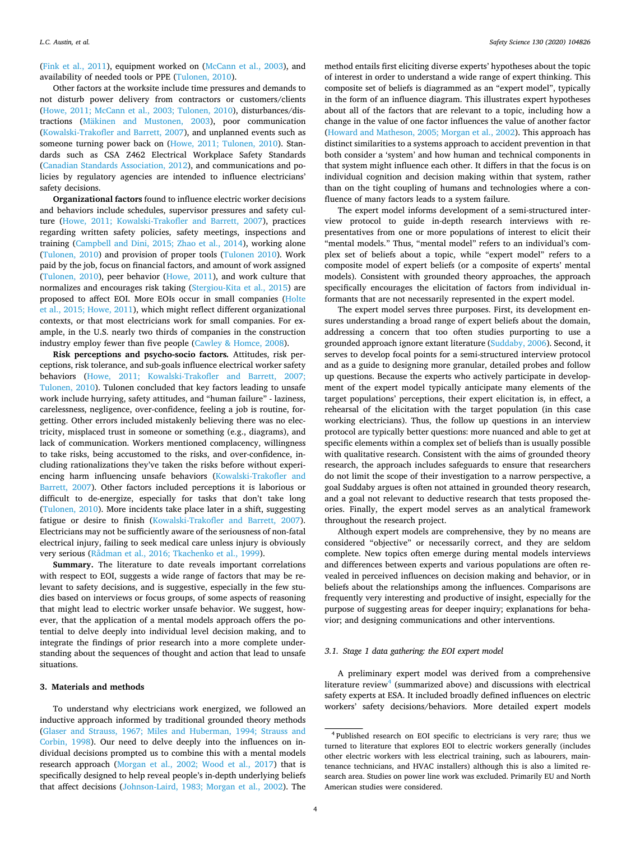([Fink et al., 2011\)](#page-11-15), equipment worked on ([McCann et al., 2003](#page-12-1)), and availability of needed tools or PPE ([Tulonen, 2010](#page-12-2)).

Other factors at the worksite include time pressures and demands to not disturb power delivery from contractors or customers/clients ([Howe, 2011; McCann et al., 2003; Tulonen, 2010\)](#page-12-15), disturbances/distractions [\(Mäkinen and Mustonen, 2003](#page-12-19)), poor communication ([Kowalski-Trakofler and Barrett, 2007\)](#page-12-3), and unplanned events such as someone turning power back on ([Howe, 2011; Tulonen, 2010](#page-12-15)). Standards such as CSA Z462 Electrical Workplace Safety Standards ([Canadian Standards Association, 2012](#page-11-0)), and communications and policies by regulatory agencies are intended to influence electricians' safety decisions.

**Organizational factors** found to influence electric worker decisions and behaviors include schedules, supervisor pressures and safety culture [\(Howe, 2011; Kowalski-Trakofler and Barrett, 2007\)](#page-12-15), practices regarding written safety policies, safety meetings, inspections and training ([Campbell and Dini, 2015; Zhao et al., 2014](#page-11-12)), working alone ([Tulonen, 2010\)](#page-12-2) and provision of proper tools [\(Tulonen 2010](#page-12-2)). Work paid by the job, focus on financial factors, and amount of work assigned ([Tulonen, 2010\)](#page-12-2), peer behavior [\(Howe, 2011\)](#page-12-15), and work culture that normalizes and encourages risk taking [\(Stergiou-Kita et al., 2015\)](#page-12-20) are proposed to affect EOI. More EOIs occur in small companies [\(Holte](#page-12-21)  [et al., 2015; Howe, 2011\)](#page-12-21), which might reflect different organizational contexts, or that most electricians work for small companies. For example, in the U.S. nearly two thirds of companies in the construction industry employ fewer than five people ([Cawley & Homce, 2008](#page-11-1)).

**Risk perceptions and psycho-socio factors***.* Attitudes, risk perceptions, risk tolerance, and sub-goals influence electrical worker safety behaviors [\(Howe, 2011; Kowalski-Trakofler and Barrett, 2007;](#page-12-15)  [Tulonen, 2010\)](#page-12-15). Tulonen concluded that key factors leading to unsafe work include hurrying, safety attitudes, and "human failure" - laziness, carelessness, negligence, over-confidence, feeling a job is routine, forgetting. Other errors included mistakenly believing there was no electricity, misplaced trust in someone or something (e.g., diagrams), and lack of communication. Workers mentioned complacency, willingness to take risks, being accustomed to the risks, and over-confidence, including rationalizations they've taken the risks before without experiencing harm influencing unsafe behaviors ([Kowalski-Trakofler and](#page-12-3)  [Barrett, 2007](#page-12-3)). Other factors included perceptions it is laborious or difficult to de-energize, especially for tasks that don't take long ([Tulonen, 2010\)](#page-12-2). More incidents take place later in a shift, suggesting fatigue or desire to finish [\(Kowalski-Trakofler and Barrett, 2007](#page-12-3)). Electricians may not be sufficiently aware of the seriousness of non-fatal electrical injury, failing to seek medical care unless injury is obviously very serious [\(Rådman et al., 2016; Tkachenko et al., 1999](#page-12-0)).

**Summary.** The literature to date reveals important correlations with respect to EOI, suggests a wide range of factors that may be relevant to safety decisions, and is suggestive, especially in the few studies based on interviews or focus groups, of some aspects of reasoning that might lead to electric worker unsafe behavior. We suggest, however, that the application of a mental models approach offers the potential to delve deeply into individual level decision making, and to integrate the findings of prior research into a more complete understanding about the sequences of thought and action that lead to unsafe situations.

#### **3. Materials and methods**

To understand why electricians work energized, we followed an inductive approach informed by traditional grounded theory methods ([Glaser and Strauss, 1967; Miles and Huberman, 1994; Strauss and](#page-11-16)  [Corbin, 1998](#page-11-16)). Our need to delve deeply into the influences on individual decisions prompted us to combine this with a mental models research approach ([Morgan et al., 2002; Wood et al., 2017](#page-12-5)) that is specifically designed to help reveal people's in-depth underlying beliefs that affect decisions ([Johnson-Laird, 1983; Morgan et al., 2002\)](#page-12-6). The method entails first eliciting diverse experts' hypotheses about the topic of interest in order to understand a wide range of expert thinking. This composite set of beliefs is diagrammed as an "expert model", typically in the form of an influence diagram. This illustrates expert hypotheses about all of the factors that are relevant to a topic, including how a change in the value of one factor influences the value of another factor ([Howard and Matheson, 2005; Morgan et al., 2002](#page-12-22)). This approach has distinct similarities to a systems approach to accident prevention in that both consider a 'system' and how human and technical components in that system might influence each other. It differs in that the focus is on individual cognition and decision making within that system, rather than on the tight coupling of humans and technologies where a confluence of many factors leads to a system failure.

The expert model informs development of a semi-structured interview protocol to guide in-depth research interviews with representatives from one or more populations of interest to elicit their "mental models." Thus, "mental model" refers to an individual's complex set of beliefs about a topic, while "expert model" refers to a composite model of expert beliefs (or a composite of experts' mental models). Consistent with grounded theory approaches, the approach specifically encourages the elicitation of factors from individual informants that are not necessarily represented in the expert model.

The expert model serves three purposes. First, its development ensures understanding a broad range of expert beliefs about the domain, addressing a concern that too often studies purporting to use a grounded approach ignore extant literature [\(Suddaby, 2006\)](#page-12-23). Second, it serves to develop focal points for a semi-structured interview protocol and as a guide to designing more granular, detailed probes and follow up questions. Because the experts who actively participate in development of the expert model typically anticipate many elements of the target populations' perceptions, their expert elicitation is, in effect, a rehearsal of the elicitation with the target population (in this case working electricians). Thus, the follow up questions in an interview protocol are typically better questions: more nuanced and able to get at specific elements within a complex set of beliefs than is usually possible with qualitative research. Consistent with the aims of grounded theory research, the approach includes safeguards to ensure that researchers do not limit the scope of their investigation to a narrow perspective, a goal Suddaby argues is often not attained in grounded theory research, and a goal not relevant to deductive research that tests proposed theories. Finally, the expert model serves as an analytical framework throughout the research project.

Although expert models are comprehensive, they by no means are considered "objective" or necessarily correct, and they are seldom complete. New topics often emerge during mental models interviews and differences between experts and various populations are often revealed in perceived influences on decision making and behavior, or in beliefs about the relationships among the influences. Comparisons are frequently very interesting and productive of insight, especially for the purpose of suggesting areas for deeper inquiry; explanations for behavior; and designing communications and other interventions.

#### *3.1. Stage 1 data gathering: the EOI expert model*

A preliminary expert model was derived from a comprehensive literature review<sup>4</sup> (summarized above) and discussions with electrical safety experts at ESA. It included broadly defined influences on electric workers' safety decisions/behaviors. More detailed expert models

<span id="page-3-0"></span><sup>&</sup>lt;sup>4</sup> Published research on EOI specific to electricians is very rare; thus we turned to literature that explores EOI to electric workers generally (includes other electric workers with less electrical training, such as labourers, maintenance technicians, and HVAC installers) although this is also a limited research area. Studies on power line work was excluded. Primarily EU and North American studies were considered.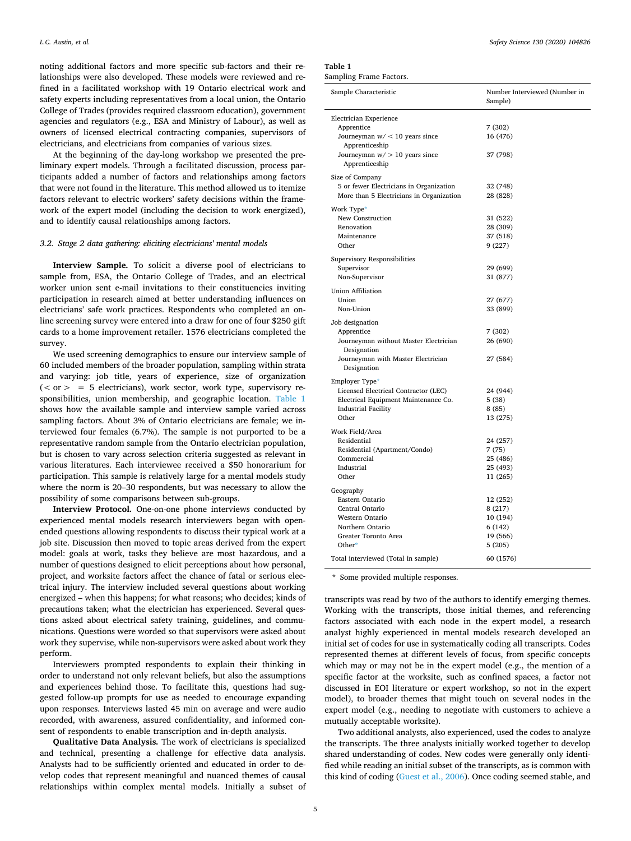noting additional factors and more specific sub-factors and their relationships were also developed. These models were reviewed and refined in a facilitated workshop with 19 Ontario electrical work and safety experts including representatives from a local union, the Ontario College of Trades (provides required classroom education), government agencies and regulators (e.g., ESA and Ministry of Labour), as well as owners of licensed electrical contracting companies, supervisors of electricians, and electricians from companies of various sizes.

At the beginning of the day-long workshop we presented the preliminary expert models. Through a facilitated discussion, process participants added a number of factors and relationships among factors that were not found in the literature. This method allowed us to itemize factors relevant to electric workers' safety decisions within the framework of the expert model (including the decision to work energized), and to identify causal relationships among factors.

#### *3.2. Stage 2 data gathering: eliciting electricians' mental models*

**Interview Sample***.* To solicit a diverse pool of electricians to sample from, ESA, the Ontario College of Trades, and an electrical worker union sent e-mail invitations to their constituencies inviting participation in research aimed at better understanding influences on electricians' safe work practices. Respondents who completed an online screening survey were entered into a draw for one of four \$250 gift cards to a home improvement retailer. 1576 electricians completed the survey.

We used screening demographics to ensure our interview sample of 60 included members of the broader population, sampling within strata and varying: job title, years of experience, size of organization  $(<$  or  $>$  = 5 electricians), work sector, work type, supervisory responsibilities, union membership, and geographic location. [Table 1](#page-4-0)  shows how the available sample and interview sample varied across sampling factors. About 3% of Ontario electricians are female; we interviewed four females (6.7%). The sample is not purported to be a representative random sample from the Ontario electrician population, but is chosen to vary across selection criteria suggested as relevant in various literatures. Each interviewee received a \$50 honorarium for participation. This sample is relatively large for a mental models study where the norm is 20–30 respondents, but was necessary to allow the possibility of some comparisons between sub-groups.

**Interview Protocol***.* One-on-one phone interviews conducted by experienced mental models research interviewers began with openended questions allowing respondents to discuss their typical work at a job site. Discussion then moved to topic areas derived from the expert model: goals at work, tasks they believe are most hazardous, and a number of questions designed to elicit perceptions about how personal, project, and worksite factors affect the chance of fatal or serious electrical injury. The interview included several questions about working energized – when this happens; for what reasons; who decides; kinds of precautions taken; what the electrician has experienced. Several questions asked about electrical safety training, guidelines, and communications. Questions were worded so that supervisors were asked about work they supervise, while non-supervisors were asked about work they perform.

Interviewers prompted respondents to explain their thinking in order to understand not only relevant beliefs, but also the assumptions and experiences behind those. To facilitate this, questions had suggested follow-up prompts for use as needed to encourage expanding upon responses. Interviews lasted 45 min on average and were audio recorded, with awareness, assured confidentiality, and informed consent of respondents to enable transcription and in-depth analysis.

**Qualitative Data Analysis***.* The work of electricians is specialized and technical, presenting a challenge for effective data analysis. Analysts had to be sufficiently oriented and educated in order to develop codes that represent meaningful and nuanced themes of causal relationships within complex mental models. Initially a subset of

# <span id="page-4-0"></span>**Table 1**

Sam

| ampling Frame Factors.                             |                                          |  |
|----------------------------------------------------|------------------------------------------|--|
| Sample Characteristic                              | Number Interviewed (Number in<br>Sample) |  |
| Electrician Experience                             |                                          |  |
| Apprentice                                         | 7 (302)                                  |  |
| Journeyman $w/ < 10$ years since<br>Apprenticeship | 16 (476)                                 |  |
| Journeyman $w/$ > 10 years since<br>Apprenticeship | 37 (798)                                 |  |
| Size of Company                                    |                                          |  |
| 5 or fewer Electricians in Organization            | 32 (748)                                 |  |
| More than 5 Electricians in Organization           | 28 (828)                                 |  |
| Work Type*                                         |                                          |  |

| моге шан э влеситскиг нг огданизацон  | 20 (020 <i>)</i> |  |
|---------------------------------------|------------------|--|
| Work Type*                            |                  |  |
| New Construction                      | 31 (522)         |  |
| Renovation                            | 28 (309)         |  |
| Maintenance                           | 37 (518)         |  |
| Other                                 | 9 (227)          |  |
| <b>Supervisory Responsibilities</b>   |                  |  |
| Supervisor                            | 29 (699)         |  |
| Non-Supervisor                        | 31 (877)         |  |
| <b>Union Affiliation</b>              |                  |  |
| Union                                 | 27 (677)         |  |
| Non-Union                             | 33 (899)         |  |
| Job designation                       |                  |  |
| Apprentice                            | 7 (302)          |  |
| Journeyman without Master Electrician | 26 (690)         |  |
| Designation                           |                  |  |
| Journeyman with Master Electrician    | 27 (584)         |  |
| Designation                           |                  |  |
| Employer Type*                        |                  |  |
| Licensed Electrical Contractor (LEC)  | 24 (944)         |  |
| Electrical Equipment Maintenance Co.  | 5(38)            |  |
| <b>Industrial Facility</b>            | 8(85)            |  |
| Other                                 | 13 (275)         |  |
| Work Field/Area                       |                  |  |
| Residential                           | 24 (257)         |  |
| Residential (Apartment/Condo)         | 7(75)            |  |
| Commercial                            | 25 (486)         |  |
| Industrial                            | 25 (493)         |  |
| Other                                 | 11 (265)         |  |
| Geography                             |                  |  |
| Eastern Ontario                       | 12 (252)         |  |
| Central Ontario                       | 8(217)           |  |
| Western Ontario                       | 10 (194)         |  |
| Northern Ontario                      | 6(142)           |  |
| Greater Toronto Area                  | 19 (566)         |  |
| Other*                                | 5(205)           |  |
| Total interviewed (Total in sample)   | 60 (1576)        |  |

<span id="page-4-1"></span>\* Some provided multiple responses.

transcripts was read by two of the authors to identify emerging themes. Working with the transcripts, those initial themes, and referencing factors associated with each node in the expert model, a research analyst highly experienced in mental models research developed an initial set of codes for use in systematically coding all transcripts. Codes represented themes at different levels of focus, from specific concepts which may or may not be in the expert model (e.g., the mention of a specific factor at the worksite, such as confined spaces, a factor not discussed in EOI literature or expert workshop, so not in the expert model), to broader themes that might touch on several nodes in the expert model (e.g., needing to negotiate with customers to achieve a mutually acceptable worksite).

Two additional analysts, also experienced, used the codes to analyze the transcripts. The three analysts initially worked together to develop shared understanding of codes. New codes were generally only identified while reading an initial subset of the transcripts, as is common with this kind of coding ([Guest et al., 2006](#page-11-17)). Once coding seemed stable, and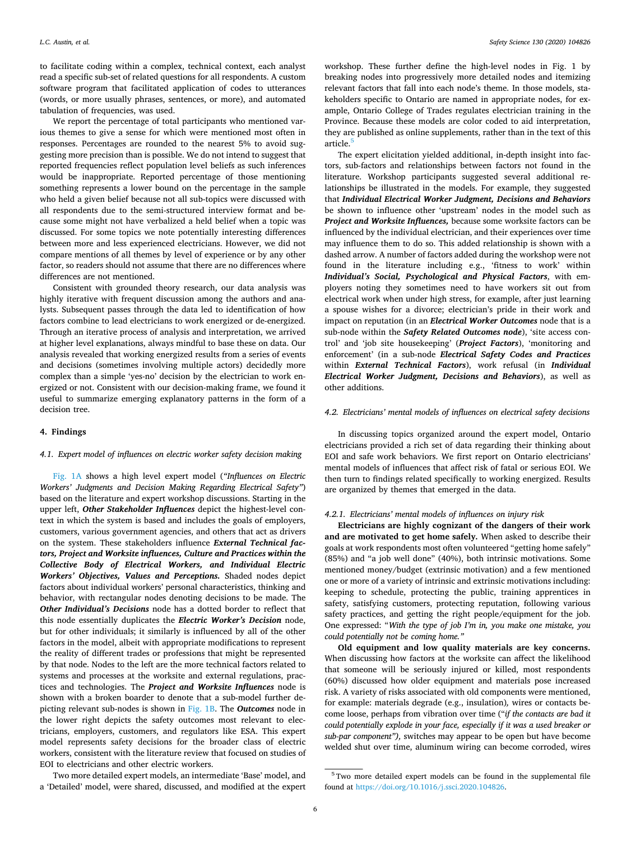to facilitate coding within a complex, technical context, each analyst read a specific sub-set of related questions for all respondents. A custom software program that facilitated application of codes to utterances (words, or more usually phrases, sentences, or more), and automated tabulation of frequencies, was used.

We report the percentage of total participants who mentioned various themes to give a sense for which were mentioned most often in responses. Percentages are rounded to the nearest 5% to avoid suggesting more precision than is possible. We do not intend to suggest that reported frequencies reflect population level beliefs as such inferences would be inappropriate. Reported percentage of those mentioning something represents a lower bound on the percentage in the sample who held a given belief because not all sub-topics were discussed with all respondents due to the semi-structured interview format and because some might not have verbalized a held belief when a topic was discussed. For some topics we note potentially interesting differences between more and less experienced electricians. However, we did not compare mentions of all themes by level of experience or by any other factor, so readers should not assume that there are no differences where differences are not mentioned.

Consistent with grounded theory research, our data analysis was highly iterative with frequent discussion among the authors and analysts. Subsequent passes through the data led to identification of how factors combine to lead electricians to work energized or de-energized. Through an iterative process of analysis and interpretation, we arrived at higher level explanations, always mindful to base these on data. Our analysis revealed that working energized results from a series of events and decisions (sometimes involving multiple actors) decidedly more complex than a simple 'yes-no' decision by the electrician to work energized or not. Consistent with our decision-making frame, we found it useful to summarize emerging explanatory patterns in the form of a decision tree.

#### **4. Findings**

#### *4.1. Expert model of influences on electric worker safety decision making*

[Fig. 1A](#page-6-0) shows a high level expert model (*"Influences on Electric Workers' Judgments and Decision Making Regarding Electrical Safety"*) based on the literature and expert workshop discussions. Starting in the upper left, *Other Stakeholder Influences* depict the highest-level context in which the system is based and includes the goals of employers, customers, various government agencies, and others that act as drivers on the system. These stakeholders influence *External Technical factors, Project and Worksite influences, Culture and Practices within the Collective Body of Electrical Workers, and Individual Electric Workers' Objectives, Values and Perceptions.* Shaded nodes depict factors about individual workers' personal characteristics, thinking and behavior, with rectangular nodes denoting decisions to be made. The *Other Individual's Decisions* node has a dotted border to reflect that this node essentially duplicates the *Electric Worker's Decision* node, but for other individuals; it similarly is influenced by all of the other factors in the model, albeit with appropriate modifications to represent the reality of different trades or professions that might be represented by that node. Nodes to the left are the more technical factors related to systems and processes at the worksite and external regulations, practices and technologies. The *Project and Worksite Influences* node is shown with a broken boarder to denote that a sub-model further depicting relevant sub-nodes is shown in [Fig. 1B.](#page-6-1) The *Outcomes* node in the lower right depicts the safety outcomes most relevant to electricians, employers, customers, and regulators like ESA. This expert model represents safety decisions for the broader class of electric workers, consistent with the literature review that focused on studies of EOI to electricians and other electric workers.

Two more detailed expert models, an intermediate 'Base' model, and a 'Detailed' model, were shared, discussed, and modified at the expert

workshop. These further define the high-level nodes in Fig. 1 by breaking nodes into progressively more detailed nodes and itemizing relevant factors that fall into each node's theme. In those models, stakeholders specific to Ontario are named in appropriate nodes, for example, Ontario College of Trades regulates electrician training in the Province. Because these models are color coded to aid interpretation, they are published as online supplements, rather than in the text of this article.

The expert elicitation yielded additional, in-depth insight into factors, sub-factors and relationships between factors not found in the literature. Workshop participants suggested several additional relationships be illustrated in the models. For example, they suggested that *Individual Electrical Worker Judgment, Decisions and Behaviors*  be shown to influence other 'upstream' nodes in the model such as *Project and Worksite Influences,* because some worksite factors can be influenced by the individual electrician, and their experiences over time may influence them to do so. This added relationship is shown with a dashed arrow. A number of factors added during the workshop were not found in the literature including e.g., 'fitness to work' within *Individual's Social, Psychological and Physical Factors*, with employers noting they sometimes need to have workers sit out from electrical work when under high stress, for example, after just learning a spouse wishes for a divorce; electrician's pride in their work and impact on reputation (in an *Electrical Worker Outcomes* node that is a sub-node within the *Safety Related Outcomes node*), 'site access control' and 'job site housekeeping' (*Project Factors*), 'monitoring and enforcement' (in a sub-node *Electrical Safety Codes and Practices*  within *External Technical Factors*), work refusal (in *Individual Electrical Worker Judgment, Decisions and Behaviors*), as well as other additions.

## *4.2. Electricians' mental models of influences on electrical safety decisions*

In discussing topics organized around the expert model, Ontario electricians provided a rich set of data regarding their thinking about EOI and safe work behaviors. We first report on Ontario electricians' mental models of influences that affect risk of fatal or serious EOI. We then turn to findings related specifically to working energized. Results are organized by themes that emerged in the data.

#### *4.2.1. Electricians' mental models of influences on injury risk*

**Electricians are highly cognizant of the dangers of their work and are motivated to get home safely***.* When asked to describe their goals at work respondents most often volunteered "getting home safely" (85%) and "a job well done" (40%), both intrinsic motivations. Some mentioned money/budget (extrinsic motivation) and a few mentioned one or more of a variety of intrinsic and extrinsic motivations including: keeping to schedule, protecting the public, training apprentices in safety, satisfying customers, protecting reputation, following various safety practices, and getting the right people/equipment for the job. One expressed: "*With the type of job I'm in, you make one mistake, you could potentially not be coming home."* 

**Old equipment and low quality materials are key concerns.**  When discussing how factors at the worksite can affect the likelihood that someone will be seriously injured or killed, most respondents (60%) discussed how older equipment and materials pose increased risk. A variety of risks associated with old components were mentioned, for example: materials degrade (e.g., insulation)*,* wires or contacts become loose, perhaps from vibration over time ("*if the contacts are bad it could potentially explode in your face, especially if it was a used breaker or sub-par component"),* switches may appear to be open but have become welded shut over time, aluminum wiring can become corroded, wires

<span id="page-5-0"></span><sup>5</sup> Two more detailed expert models can be found in the supplemental file found at <https://doi.org/10.1016/j.ssci.2020.104826>.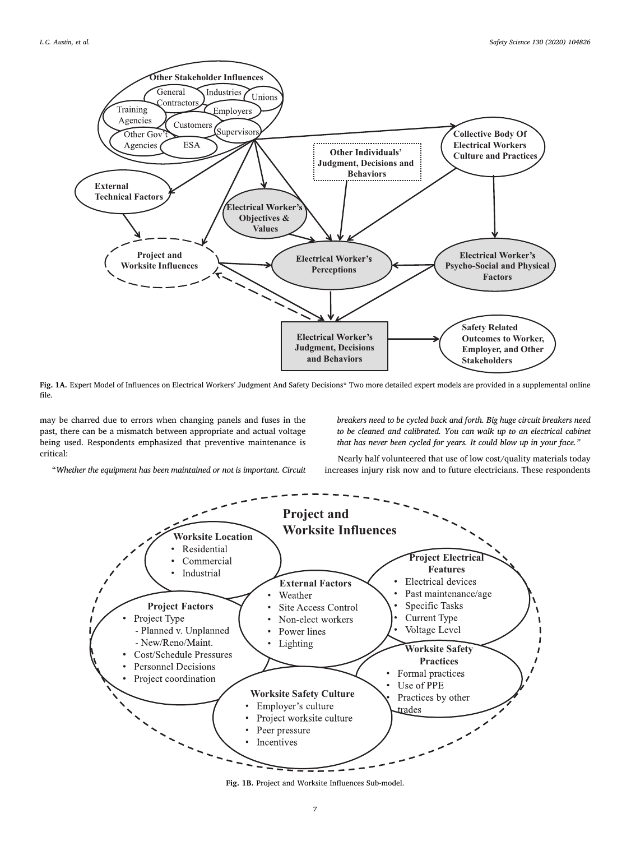<span id="page-6-0"></span>

**Fig. 1A.** Expert Model of Influences on Electrical Workers' Judgment And Safety Decisions\* Two more detailed expert models are provided in a supplemental online file.

may be charred due to errors when changing panels and fuses in the past, there can be a mismatch between appropriate and actual voltage being used. Respondents emphasized that preventive maintenance is critical:

*to be cleaned and calibrated. You can walk up to an electrical cabinet that has never been cycled for years. It could blow up in your face."* 

<span id="page-6-1"></span>"*Whether the equipment has been maintained or not is important. Circuit* 

Nearly half volunteered that use of low cost/quality materials today increases injury risk now and to future electricians. These respondents

*breakers need to be cycled back and forth. Big huge circuit breakers need* 



**Fig. 1B.** Project and Worksite Influences Sub-model.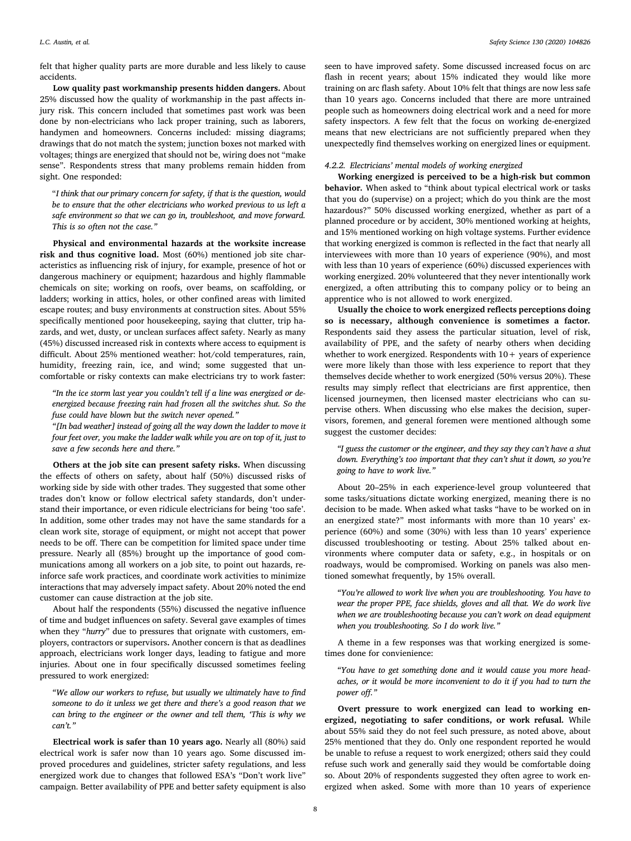felt that higher quality parts are more durable and less likely to cause accidents.

**Low quality past workmanship presents hidden dangers.** About 25% discussed how the quality of workmanship in the past affects injury risk. This concern included that sometimes past work was been done by non-electricians who lack proper training, such as laborers, handymen and homeowners. Concerns included: missing diagrams; drawings that do not match the system; junction boxes not marked with voltages; things are energized that should not be, wiring does not "make sense". Respondents stress that many problems remain hidden from sight. One responded:

"*I think that our primary concern for safety, if that is the question, would be to ensure that the other electricians who worked previous to us left a safe environment so that we can go in, troubleshoot, and move forward. This is so often not the case."* 

**Physical and environmental hazards at the worksite increase risk and thus cognitive load.** Most (60%) mentioned job site characteristics as influencing risk of injury, for example, presence of hot or dangerous machinery or equipment; hazardous and highly flammable chemicals on site; working on roofs, over beams, on scaffolding, or ladders; working in attics, holes, or other confined areas with limited escape routes; and busy environments at construction sites. About 55% specifically mentioned poor housekeeping, saying that clutter, trip hazards, and wet, dusty, or unclean surfaces affect safety. Nearly as many (45%) discussed increased risk in contexts where access to equipment is difficult. About 25% mentioned weather: hot/cold temperatures, rain, humidity, freezing rain, ice, and wind; some suggested that uncomfortable or risky contexts can make electricians try to work faster:

*"In the ice storm last year you couldn't tell if a line was energized or deenergized because freezing rain had frozen all the switches shut. So the fuse could have blown but the switch never opened."* 

*"[In bad weather] instead of going all the way down the ladder to move it four feet over, you make the ladder walk while you are on top of it, just to save a few seconds here and there."* 

**Others at the job site can present safety risks.** When discussing the effects of others on safety, about half (50%) discussed risks of working side by side with other trades. They suggested that some other trades don't know or follow electrical safety standards, don't understand their importance, or even ridicule electricians for being 'too safe'. In addition, some other trades may not have the same standards for a clean work site, storage of equipment, or might not accept that power needs to be off. There can be competition for limited space under time pressure. Nearly all (85%) brought up the importance of good communications among all workers on a job site, to point out hazards, reinforce safe work practices, and coordinate work activities to minimize interactions that may adversely impact safety. About 20% noted the end customer can cause distraction at the job site.

About half the respondents (55%) discussed the negative influence of time and budget influences on safety. Several gave examples of times when they "*hurry*" due to pressures that orignate with customers, employers, contractors or supervisors**.** Another concern is that as deadlines approach, electricians work longer days, leading to fatigue and more injuries. About one in four specifically discussed sometimes feeling pressured to work energized:

*"We allow our workers to refuse, but usually we ultimately have to find someone to do it unless we get there and there's a good reason that we can bring to the engineer or the owner and tell them, 'This is why we can't."* 

**Electrical work is safer than 10 years ago.** Nearly all (80%) said electrical work is safer now than 10 years ago. Some discussed improved procedures and guidelines, stricter safety regulations, and less energized work due to changes that followed ESA's "Don't work live" campaign. Better availability of PPE and better safety equipment is also

seen to have improved safety. Some discussed increased focus on arc flash in recent years; about 15% indicated they would like more training on arc flash safety. About 10% felt that things are now less safe than 10 years ago. Concerns included that there are more untrained people such as homeowners doing electrical work and a need for more safety inspectors. A few felt that the focus on working de-energized means that new electricians are not sufficiently prepared when they unexpectedly find themselves working on energized lines or equipment.

# *4.2.2. Electricians' mental models of working energized*

**Working energized is perceived to be a high-risk but common behavior***.* When asked to "think about typical electrical work or tasks that you do (supervise) on a project; which do you think are the most hazardous?" 50% discussed working energized, whether as part of a planned procedure or by accident, 30% mentioned working at heights, and 15% mentioned working on high voltage systems. Further evidence that working energized is common is reflected in the fact that nearly all interviewees with more than 10 years of experience (90%), and most with less than 10 years of experience (60%) discussed experiences with working energized. 20% volunteered that they never intentionally work energized, a often attributing this to company policy or to being an apprentice who is not allowed to work energized.

**Usually the choice to work energized reflects perceptions doing so is necessary, although convenience is sometimes a factor***.*  Respondents said they assess the particular situation, level of risk, availability of PPE, and the safety of nearby others when deciding whether to work energized. Respondents with  $10+$  years of experience were more likely than those with less experience to report that they themselves decide whether to work energized (50% versus 20%). These results may simply reflect that electricians are first apprentice, then licensed journeymen, then licensed master electricians who can supervise others. When discussing who else makes the decision, supervisors, foremen, and general foremen were mentioned although some suggest the customer decides:

*"I guess the customer or the engineer, and they say they can't have a shut down. Everything's too important that they can't shut it down, so you're going to have to work live."* 

About 20–25% in each experience-level group volunteered that some tasks/situations dictate working energized, meaning there is no decision to be made. When asked what tasks "have to be worked on in an energized state?" most informants with more than 10 years' experience (60%) and some (30%) with less than 10 years' experience discussed troubleshooting or testing. About 25% talked about environments where computer data or safety, e.g., in hospitals or on roadways, would be compromised. Working on panels was also mentioned somewhat frequently, by 15% overall.

*"You're allowed to work live when you are troubleshooting. You have to wear the proper PPE, face shields, gloves and all that. We do work live when we are troubleshooting because you can't work on dead equipment when you troubleshooting. So I do work live."* 

A theme in a few responses was that working energized is sometimes done for convienience:

*"You have to get something done and it would cause you more headaches, or it would be more inconvenient to do it if you had to turn the power off."* 

**Overt pressure to work energized can lead to working energized, negotiating to safer conditions, or work refusal***.* While about 55% said they do not feel such pressure, as noted above, about 25% mentioned that they do. Only one respondent reported he would be unable to refuse a request to work energized; others said they could refuse such work and generally said they would be comfortable doing so. About 20% of respondents suggested they often agree to work energized when asked. Some with more than 10 years of experience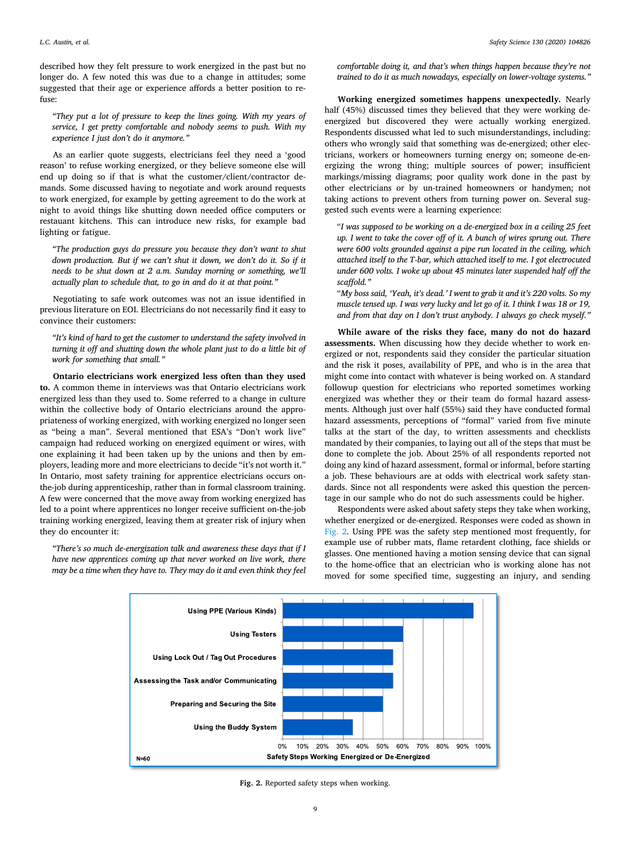described how they felt pressure to work energized in the past but no longer do. A few noted this was due to a change in attitudes; some suggested that their age or experience affords a better position to refuse:

*"They put a lot of pressure to keep the lines going. With my years of service, I get pretty comfortable and nobody seems to push. With my experience I just don't do it anymore."* 

As an earlier quote suggests, electricians feel they need a 'good reason' to refuse working energized, or they believe someone else will end up doing so if that is what the customer/client/contractor demands. Some discussed having to negotiate and work around requests to work energized, for example by getting agreement to do the work at night to avoid things like shutting down needed office computers or restauant kitchens. This can introduce new risks, for example bad lighting or fatigue.

*"The production guys do pressure you because they don't want to shut down production. But if we can't shut it down, we don't do it. So if it needs to be shut down at 2 a.m. Sunday morning or something, we'll actually plan to schedule that, to go in and do it at that point."* 

Negotiating to safe work outcomes was not an issue identified in previous literature on EOI. Electricians do not necessarily find it easy to convince their customers:

*"It's kind of hard to get the customer to understand the safety involved in turning it off and shutting down the whole plant just to do a little bit of work for something that small."* 

**Ontario electricians work energized less often than they used to.** A common theme in interviews was that Ontario electricians work energized less than they used to. Some referred to a change in culture within the collective body of Ontario electricians around the appropriateness of working energized, with working energized no longer seen as "being a man". Several mentioned that ESA's "Don't work live" campaign had reduced working on energized equiment or wires, with one explaining it had been taken up by the unions and then by employers, leading more and more electricians to decide "it's not worth it." In Ontario, most safety training for apprentice electricians occurs onthe-job during apprenticeship, rather than in formal classroom training. A few were concerned that the move away from working energized has led to a point where apprentices no longer receive sufficient on-the-job training working energized, leaving them at greater risk of injury when they do encounter it:

<span id="page-8-0"></span>*"There's so much de-energization talk and awareness these days that if I have new apprentices coming up that never worked on live work, there may be a time when they have to. They may do it and even think they feel*  *comfortable doing it, and that's when things happen because they're not trained to do it as much nowadays, especially on lower-voltage systems."* 

**Working energized sometimes happens unexpectedly***.* Nearly half (45%) discussed times they believed that they were working deenergized but discovered they were actually working energized. Respondents discussed what led to such misunderstandings, including: others who wrongly said that something was de-energized; other electricians, workers or homeowners turning energy on; someone de-energizing the wrong thing; multiple sources of power; insufficient markings/missing diagrams; poor quality work done in the past by other electricians or by un-trained homeowners or handymen; not taking actions to prevent others from turning power on. Several suggested such events were a learning experience:

"*I was supposed to be working on a de-energized box in a ceiling 25 feet up. I went to take the cover off of it. A bunch of wires sprung out. There were 600 volts grounded against a pipe run located in the ceiling, which attached itself to the T-bar, which attached itself to me. I got electrocuted under 600 volts. I woke up about 45 minutes later suspended half off the scaffold."* 

"*My boss said, 'Yeah, it's dead.' I went to grab it and it's 220 volts. So my muscle tensed up. I was very lucky and let go of it. I think I was 18 or 19, and from that day on I don't trust anybody. I always go check myself."* 

**While aware of the risks they face, many do not do hazard assessments.** When discussing how they decide whether to work energized or not, respondents said they consider the particular situation and the risk it poses, availability of PPE, and who is in the area that might come into contact with whatever is being worked on. A standard followup question for electricians who reported sometimes working energized was whether they or their team do formal hazard assessments. Although just over half (55%) said they have conducted formal hazard assessments, perceptions of "formal" varied from five minute talks at the start of the day, to written assessments and checklists mandated by their companies, to laying out all of the steps that must be done to complete the job. About 25% of all respondents reported not doing any kind of hazard assessment, formal or informal, before starting a job. These behaviours are at odds with electrical work safety standards. Since not all respondents were asked this question the percentage in our sample who do not do such assessments could be higher.

Respondents were asked about safety steps they take when working, whether energized or de-energized. Responses were coded as shown in [Fig. 2](#page-8-0). Using PPE was the safety step mentioned most frequently, for example use of rubber mats, flame retardent clothing, face shields or glasses. One mentioned having a motion sensing device that can signal to the home-office that an electrician who is working alone has not moved for some specified time, suggesting an injury, and sending



**Fig. 2.** Reported safety steps when working.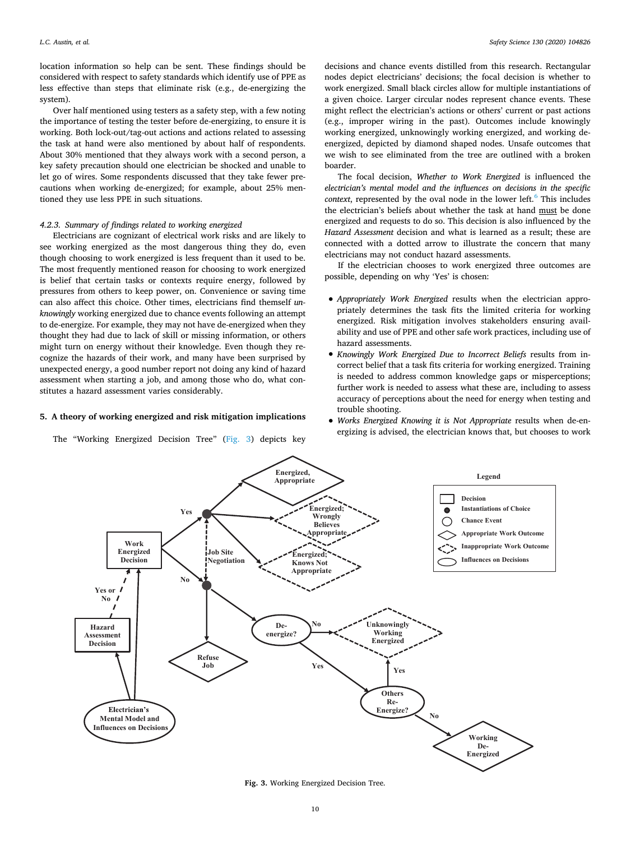location information so help can be sent. These findings should be considered with respect to safety standards which identify use of PPE as less effective than steps that eliminate risk (e.g., de-energizing the system).

Over half mentioned using testers as a safety step, with a few noting the importance of testing the tester before de-energizing, to ensure it is working. Both lock-out/tag-out actions and actions related to assessing the task at hand were also mentioned by about half of respondents. About 30% mentioned that they always work with a second person, a key safety precaution should one electrician be shocked and unable to let go of wires. Some respondents discussed that they take fewer precautions when working de-energized; for example, about 25% mentioned they use less PPE in such situations.

## *4.2.3. Summary of findings related to working energized*

Electricians are cognizant of electrical work risks and are likely to see working energized as the most dangerous thing they do, even though choosing to work energized is less frequent than it used to be. The most frequently mentioned reason for choosing to work energized is belief that certain tasks or contexts require energy, followed by pressures from others to keep power, on. Convenience or saving time can also affect this choice. Other times, electricians find themself *unknowingly* working energized due to chance events following an attempt to de-energize. For example, they may not have de-energized when they thought they had due to lack of skill or missing information, or others might turn on energy without their knowledge. Even though they recognize the hazards of their work, and many have been surprised by unexpected energy, a good number report not doing any kind of hazard assessment when starting a job, and among those who do, what constitutes a hazard assessment varies considerably.

## **5. A theory of working energized and risk mitigation implications**

<span id="page-9-0"></span>The "Working Energized Decision Tree" [\(Fig. 3\)](#page-9-0) depicts key

decisions and chance events distilled from this research. Rectangular nodes depict electricians' decisions; the focal decision is whether to work energized. Small black circles allow for multiple instantiations of a given choice. Larger circular nodes represent chance events. These might reflect the electrician's actions or others' current or past actions (e.g., improper wiring in the past). Outcomes include knowingly working energized, unknowingly working energized, and working deenergized, depicted by diamond shaped nodes. Unsafe outcomes that we wish to see eliminated from the tree are outlined with a broken boarder.

The focal decision, *Whether to Work Energized* is influenced the *electrician's mental model and the influences on decisions in the specific context*, represented by the oval node in the lower left.<sup>6</sup> This includes the electrician's beliefs about whether the task at hand must be done energized and requests to do so. This decision is also influenced by the *Hazard Assessment* decision and what is learned as a result; these are connected with a dotted arrow to illustrate the concern that many electricians may not conduct hazard assessments.

If the electrician chooses to work energized three outcomes are possible, depending on why 'Yes' is chosen:

- *Appropriately Work Energized* results when the electrician appropriately determines the task fits the limited criteria for working energized. Risk mitigation involves stakeholders ensuring availability and use of PPE and other safe work practices, including use of hazard assessments.
- *Knowingly Work Energized Due to Incorrect Beliefs* results from incorrect belief that a task fits criteria for working energized. Training is needed to address common knowledge gaps or misperceptions; further work is needed to assess what these are, including to assess accuracy of perceptions about the need for energy when testing and trouble shooting.
- *Works Energized Knowing it is Not Appropriate* results when de-energizing is advised, the electrician knows that, but chooses to work



**Fig. 3.** Working Energized Decision Tree.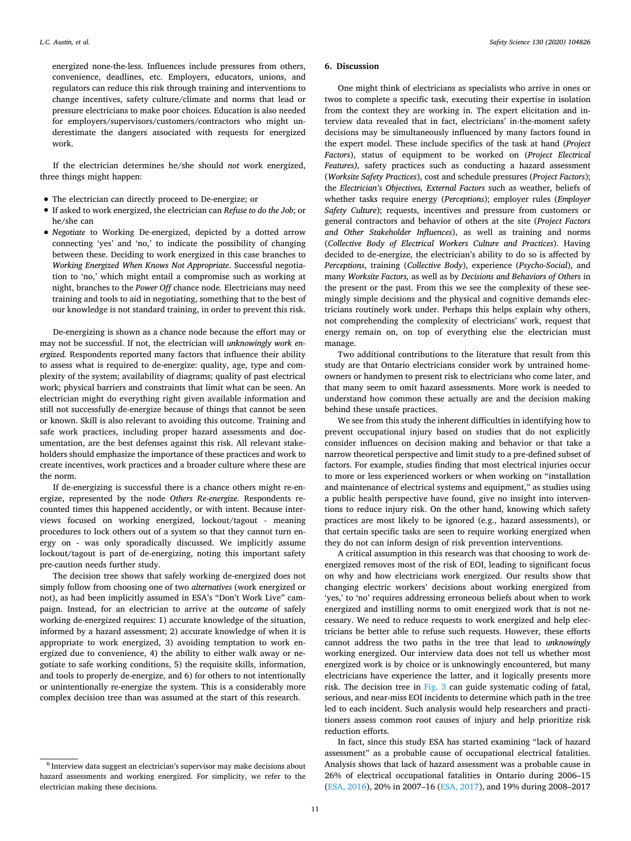energized none-the-less. Influences include pressures from others, convenience, deadlines, etc. Employers, educators, unions, and regulators can reduce this risk through training and interventions to change incentives, safety culture/climate and norms that lead or pressure electricians to make poor choices. Education is also needed for employers/supervisors/customers/contractors who might underestimate the dangers associated with requests for energized work.

If the electrician determines he/she should *not* work energized, three things might happen:

- The electrician can directly proceed to De-energize; or
- If asked to work energized, the electrician can *Refuse to do the Job*; or he/she can
- *Negotiate* to Working De-energized, depicted by a dotted arrow connecting 'yes' and 'no,' to indicate the possibility of changing between these. Deciding to work energized in this case branches to *Working Energized When Knows Not Appropriate*. Successful negotiation to 'no,' which might entail a compromise such as working at night, branches to the *Power Off* chance node*.* Electricians may need training and tools to aid in negotiating, something that to the best of our knowledge is not standard training, in order to prevent this risk.

De-energizing is shown as a chance node because the effort may or may not be successful. If not, the electrician will *unknowingly work energized.* Respondents reported many factors that influence their ability to assess what is required to de-energize: quality, age, type and complexity of the system; availability of diagrams; quality of past electrical work; physical barriers and constraints that limit what can be seen. An electrician might do everything right given available information and still not successfully de-energize because of things that cannot be seen or known. Skill is also relevant to avoiding this outcome. Training and safe work practices, including proper hazard assessments and documentation, are the best defenses against this risk. All relevant stakeholders should emphasize the importance of these practices and work to create incentives, work practices and a broader culture where these are the norm.

If de-energizing is successful there is a chance others might re-energize, represented by the node *Others Re-energize.* Respondents recounted times this happened accidently, or with intent. Because interviews focused on working energized, lockout/tagout - meaning procedures to lock others out of a system so that they cannot turn energy on - was only sporadically discussed. We implicitly assume lockout/tagout is part of de-energizing, noting this important safety pre-caution needs further study.

The decision tree shows that safely working de-energized does not simply follow from choosing one of two *alternatives* (work energized or not), as had been implicitly assumed in ESA's "Don't Work Live" campaign. Instead, for an electrician to arrive at the *outcome* of safely working de-energized requires: 1) accurate knowledge of the situation, informed by a hazard assessment; 2) accurate knowledge of when it is appropriate to work energized, 3) avoiding temptation to work energized due to convenience, 4) the ability to either walk away or negotiate to safe working conditions, 5) the requisite skills, information, and tools to properly de-energize, and 6) for others to not intentionally or unintentionally re-energize the system. This is a considerably more complex decision tree than was assumed at the start of this research.

#### **6. Discussion**

One might think of electricians as specialists who arrive in ones or twos to complete a specific task, executing their expertise in isolation from the context they are working in. The expert elicitation and interview data revealed that in fact, electricians' in-the-moment safety decisions may be simultaneously influenced by many factors found in the expert model. These include specifics of the task at hand (*Project Factors*), status of equipment to be worked on (*Project Electrical Features),* safety practices such as conducting a hazard assessment (*Worksite Safety Practices*), cost and schedule pressures (*Project Factors*); the *Electrician's Objectives, External Factors* such as weather, beliefs of whether tasks require energy (*Perceptions*); employer rules (*Employer Safety Culture*); requests, incentives and pressure from customers or general contractors and behavior of others at the site (*Project Factors and Other Stakeholder Influences*), as well as training and norms (*Collective Body of Electrical Workers Culture and Practices*). Having decided to de-energize, the electrician's ability to do so is affected by *Perceptions*, training (*Collective Body*), experience (*Psycho-Social*), and many *Worksite Factors,* as well as by *Decisions and Behaviors of Others* in the present or the past. From this we see the complexity of these seemingly simple decisions and the physical and cognitive demands electricians routinely work under. Perhaps this helps explain why others, not comprehending the complexity of electricians' work, request that energy remain on, on top of everything else the electrician must manage.

Two additional contributions to the literature that result from this study are that Ontario electricians consider work by untrained homeowners or handymen to present risk to electricians who come later, and that many seem to omit hazard assessments. More work is needed to understand how common these actually are and the decision making behind these unsafe practices.

We see from this study the inherent difficulties in identifying how to prevent occupational injury based on studies that do not explicitly consider influences on decision making and behavior or that take a narrow theoretical perspective and limit study to a pre-defined subset of factors. For example, studies finding that most electrical injuries occur to more or less experienced workers or when working on "installation and maintenance of electrical systems and equipment," as studies using a public health perspective have found, give no insight into interventions to reduce injury risk. On the other hand, knowing which safety practices are most likely to be ignored (e.g., hazard assessments), or that certain specific tasks are seen to require working energized when they do not can inform design of risk prevention interventions.

A critical assumption in this research was that choosing to work deenergized removes most of the risk of EOI, leading to significant focus on why and how electricians work energized. Our results show that changing electric workers' decisions about working energized from 'yes,' to 'no' requires addressing erroneous beliefs about when to work energized and instilling norms to omit energized work that is not necessary. We need to reduce requests to work energized and help electricians be better able to refuse such requests. However, these efforts cannot address the two paths in the tree that lead to *unknowingly*  working energized. Our interview data does not tell us whether most energized work is by choice or is unknowingly encountered, but many electricians have experience the latter, and it logically presents more risk. The decision tree in [Fig. 3](#page-9-0) can guide systematic coding of fatal, serious, and near-miss EOI incidents to determine which path in the tree led to each incident. Such analysis would help researchers and practitioners assess common root causes of injury and help prioritize risk reduction efforts.

In fact, since this study ESA has started examining "lack of hazard assessment" as a probable cause of occupational electrical fatalities. Analysis shows that lack of hazard assessment was a probable cause in 26% of electrical occupational fatalities in Ontario during 2006–15 ([ESA, 2016\)](#page-11-18), 20% in 2007–16 ([ESA, 2017](#page-11-19)), and 19% during 2008–2017

<span id="page-10-0"></span> $^6$  Interview data suggest an electrician's supervisor may make decisions about hazard assessments and working energized. For simplicity, we refer to the electrician making these decisions.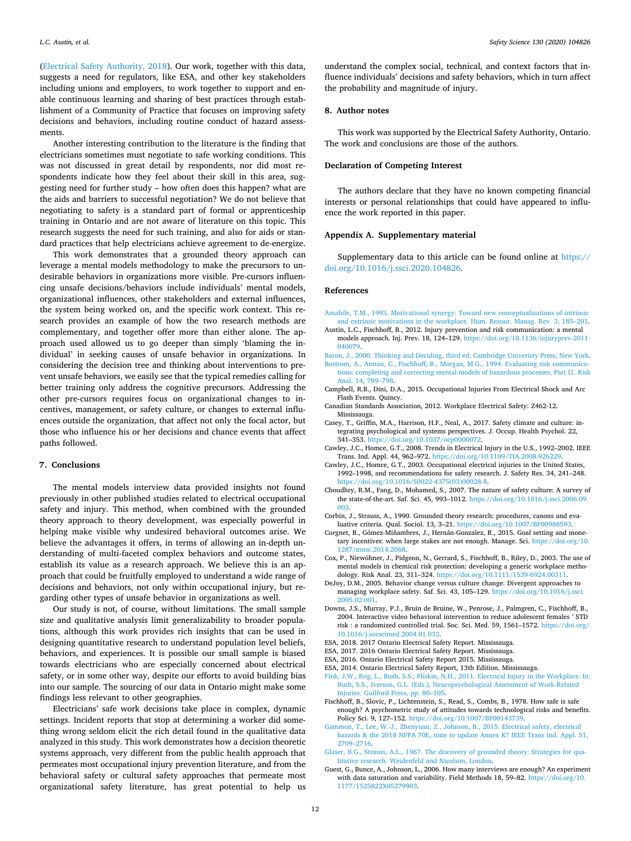([Electrical Safety Authority, 2018\)](#page-11-20). Our work, together with this data, suggests a need for regulators, like ESA, and other key stakeholders including unions and employers, to work together to support and enable continuous learning and sharing of best practices through establishment of a Community of Practice that focuses on improving safety decisions and behaviors, including routine conduct of hazard assessments.

Another interesting contribution to the literature is the finding that electricians sometimes must negotiate to safe working conditions. This was not discussed in great detail by respondents, nor did most respondents indicate how they feel about their skill in this area, suggesting need for further study – how often does this happen? what are the aids and barriers to successful negotiation? We do not believe that negotiating to safety is a standard part of formal or apprenticeship training in Ontario and are not aware of literature on this topic. This research suggests the need for such training, and also for aids or standard practices that help electricians achieve agreement to de-energize.

This work demonstrates that a grounded theory approach can leverage a mental models methodology to make the precursors to undesirable behaviors in organizations more visible. Pre-cursors influencing unsafe decisions/behaviors include individuals' mental models, organizational influences, other stakeholders and external influences, the system being worked on, and the specific work context. This research provides an example of how the two research methods are complementary, and together offer more than either alone. The approach used allowed us to go deeper than simply 'blaming the individual' in seeking causes of unsafe behavior in organizations. In considering the decision tree and thinking about interventions to prevent unsafe behaviors, we easily see that the typical remedies calling for better training only address the cognitive precursors. Addressing the other pre-cursors requires focus on organizational changes to incentives, management, or safety culture, or changes to external influences outside the organization, that affect not only the focal actor, but those who influence his or her decisions and chance events that affect paths followed.

## **7. Conclusions**

The mental models interview data provided insights not found previously in other published studies related to electrical occupational safety and injury. This method, when combined with the grounded theory approach to theory development, was especially powerful in helping make visible why undesired behavioral outcomes arise. We believe the advantages it offers, in terms of allowing an in-depth understanding of multi-faceted complex behaviors and outcome states, establish its value as a research approach. We believe this is an approach that could be fruitfully employed to understand a wide range of decisions and behaviors, not only within occupational injury, but regarding other types of unsafe behavior in organizations as well.

Our study is not, of course, without limitations. The small sample size and qualitative analysis limit generalizability to broader populations, although this work provides rich insights that can be used in designing quantitative research to understand population level beliefs, behaviors, and experiences. It is possible our small sample is biased towards electricians who are especially concerned about electrical safety, or in some other way, despite our efforts to avoid building bias into our sample. The sourcing of our data in Ontario might make some findings less relevant to other geographies.

Electricians' safe work decisions take place in complex, dynamic settings. Incident reports that stop at determining a worker did something wrong seldom elicit the rich detail found in the qualitative data analyzed in this study. This work demonstrates how a decision theoretic systems approach, very different from the public health approach that permeates most occupational injury prevention literature, and from the behavioral safety or cultural safety approaches that permeate most organizational safety literature, has great potential to help us understand the complex social, technical, and context factors that influence individuals' decisions and safety behaviors, which in turn affect the probability and magnitude of injury.

#### **8. Author notes**

This work was supported by the Electrical Safety Authority, Ontario. The work and conclusions are those of the authors.

## **Declaration of Competing Interest**

The authors declare that they have no known competing financial interests or personal relationships that could have appeared to influence the work reported in this paper.

### **Appendix A. Supplementary material**

Supplementary data to this article can be found online at [https://](https://doi.org/10.1016/j.ssci.2020.104826)  [doi.org/10.1016/j.ssci.2020.104826](https://doi.org/10.1016/j.ssci.2020.104826).

#### **References**

- <span id="page-11-6"></span>[Amabile, T.M., 1993. Motivational synergy: Toward new conceptualizations of intrinsic](http://refhub.elsevier.com/S0925-7535(20)30223-X/h0005) [and extrinsic motivations in the workplace. Hum. Resour. Manag. Rev. 3, 185–201](http://refhub.elsevier.com/S0925-7535(20)30223-X/h0005).
- <span id="page-11-9"></span>Austin, L.C., Fischhoff, B., 2012. Injury prevention and risk communication: a mental models approach. Inj. Prev. 18, 124–129. [https://doi.org/10.1136/injuryprev-2011-](https://doi.org/10.1136/injuryprev-2011-040079)  [040079](https://doi.org/10.1136/injuryprev-2011-040079).
- <span id="page-11-10"></span>[Baron, J., 2000. Thinking and Deciding, third ed. Cambridge Univeristy Press, New York.](http://refhub.elsevier.com/S0925-7535(20)30223-X/h0015)
- <span id="page-11-4"></span>[Bostrom, A., Atman, C., Fischhoff, B., Morgan, M.G., 1994. Evaluating risk communica](http://refhub.elsevier.com/S0925-7535(20)30223-X/h0020)[tions: completing and correcting mental models of hazardous processes, Part I1. Risk](http://refhub.elsevier.com/S0925-7535(20)30223-X/h0020)  [Anal. 14, 789–798](http://refhub.elsevier.com/S0925-7535(20)30223-X/h0020).
- <span id="page-11-12"></span>Campbell, R.B., Dini, D.A., 2015. Occupational Injuries From Electrical Shock and Arc Flash Events. Quincy.
- <span id="page-11-0"></span>Canadian Standards Association, 2012. Workplace Electrical Safety: Z462-12. Mississauga.
- <span id="page-11-8"></span>Casey, T., Griffin, M.A., Harrison, H.F., Neal, A., 2017. Safety climate and culture: integrating psychological and systems perspectives. J. Occup. Health Psychol. 22, 341–353. <https://doi.org/10.1037/ocp0000072>.
- <span id="page-11-1"></span>Cawley, J.C., Homce, G.T., 2008. Trends in Electrical Injury in the U.S., 1992–2002. IEEE Trans. Ind. Appl. 44, 962–972. [https://doi.org/10.1109/TIA.2008.926229.](https://doi.org/10.1109/TIA.2008.926229)
- <span id="page-11-13"></span>Cawley, J.C., Homce, G.T., 2003. Occupational electrical injuries in the United States, 1992–1998, and recommendations for safety research. J. Safety Res. 34, 241–248. [https://doi.org/10.1016/S0022-4375\(03\)00028-8.](https://doi.org/10.1016/S0022-4375(03)00028-8)
- <span id="page-11-7"></span>Choudhry, R.M., Fang, D., Mohamed, S., 2007. The nature of safety culture: A survey of the state-of-the-art. Saf. Sci. 45, 993–1012. [https://doi.org/10.1016/j.ssci.2006.09.](https://doi.org/10.1016/j.ssci.2006.09.003)  [003](https://doi.org/10.1016/j.ssci.2006.09.003).
- <span id="page-11-3"></span>Corbin, J., Strauss, A., 1990. Grounded theory research: procedures, canons and evaluative criteria. Qual. Sociol. 13, 3–21. <https://doi.org/10.1007/BF00988593>.
- Corgnet, B., Gómez-Miñambres, J., Hernán-Gonzalez, R., 2015. Goal setting and monetary incentives: when large stakes are not enough. Manage. Sci. [https://doi.org/10.](https://doi.org/10.1287/mnsc.2014.2068)  [1287/mnsc.2014.2068.](https://doi.org/10.1287/mnsc.2014.2068)
- <span id="page-11-5"></span>Cox, P., Niewöhner, J., Pidgeon, N., Gerrard, S., Fischhoff, B., Riley, D., 2003. The use of mental models in chemical risk protection: developing a generic workplace methodology. Risk Anal. 23, 311–324. [https://doi.org/10.1111/1539-6924.00311.](https://doi.org/10.1111/1539-6924.00311)
- DeJoy, D.M., 2005. Behavior change versus culture change: Divergent approaches to managing workplace safety. Saf. Sci. 43, 105–129. [https://doi.org/10.1016/j.ssci.](https://doi.org/10.1016/j.ssci.2005.02.001)  [2005.02.001](https://doi.org/10.1016/j.ssci.2005.02.001).
- Downs, J.S., Murray, P.J., Bruin de Bruine, W., Penrose, J., Palmgren, C., Fischhoff, B., 2004. Interactive video behavioral intervention to reduce adolescent females ' STD risk : a randomized controlled trial. Soc. Sci. Med. 59, 1561–1572. [https://doi.org/](https://doi.org/10.1016/j.socscimed.2004.01.032)  [10.1016/j.socscimed.2004.01.032.](https://doi.org/10.1016/j.socscimed.2004.01.032)
- <span id="page-11-20"></span>ESA, 2018. 2017 Ontario Electrical Safety Report. Mississauga.
- <span id="page-11-19"></span>ESA, 2017. 2016 Ontario Electrical Safety Report. Mississauga.
- <span id="page-11-18"></span>ESA, 2016. Ontario Electrical Safety Report 2015. Mississauga.
- <span id="page-11-2"></span>ESA, 2014. Ontario Electrical Safety Report, 13th Edition. Mississauga.
- <span id="page-11-15"></span>[Fink, J.W., Rog, L., Bush, S.S., Pliskin, N.H., 2011. Electrical Injury in the Workplace. In:](http://refhub.elsevier.com/S0925-7535(20)30223-X/h0105)  [Bush, S.S., Iverson, G.L. \(Eds.\), Neuropsychological Assessment of Work-Related](http://refhub.elsevier.com/S0925-7535(20)30223-X/h0105)  [Injuries. Guilford Press, pp. 80–105.](http://refhub.elsevier.com/S0925-7535(20)30223-X/h0105)
- <span id="page-11-11"></span>Fischhoff, B., Slovic, P., Lichtenstein, S., Read, S., Combs, B., 1978. How safe is safe enough? A psychometric study of attitudes towards technological risks and benefits. Policy Sci. 9, 127–152. <https://doi.org/10.1007/BF00143739>.
- <span id="page-11-14"></span>[Gammon, T., Lee, W.-J., Zhenyuan, Z., Johnson, B., 2015. Electrical safety, electrical](http://refhub.elsevier.com/S0925-7535(20)30223-X/h0115)  [hazards & the 2018 NFPA 70E, time to update Annex K? IEEE Trans Ind. Appl. 51,](http://refhub.elsevier.com/S0925-7535(20)30223-X/h0115) [2709–2716](http://refhub.elsevier.com/S0925-7535(20)30223-X/h0115).
- <span id="page-11-16"></span>[Glaser, B.G., Strauss, A.L., 1967. The discovery of grounded theory: Strategies for qua](http://refhub.elsevier.com/S0925-7535(20)30223-X/h0120)[litative research. Weidenfeld and Nicolson, London](http://refhub.elsevier.com/S0925-7535(20)30223-X/h0120).
- <span id="page-11-17"></span>Guest, G., Bunce, A., Johnson, L., 2006. How many interviews are enough? An experiment with data saturation and variability. Field Methods 18, 59–82. [https://doi.org/10.](https://doi.org/10.1177/1525822X05279903) [1177/1525822X05279903.](https://doi.org/10.1177/1525822X05279903)